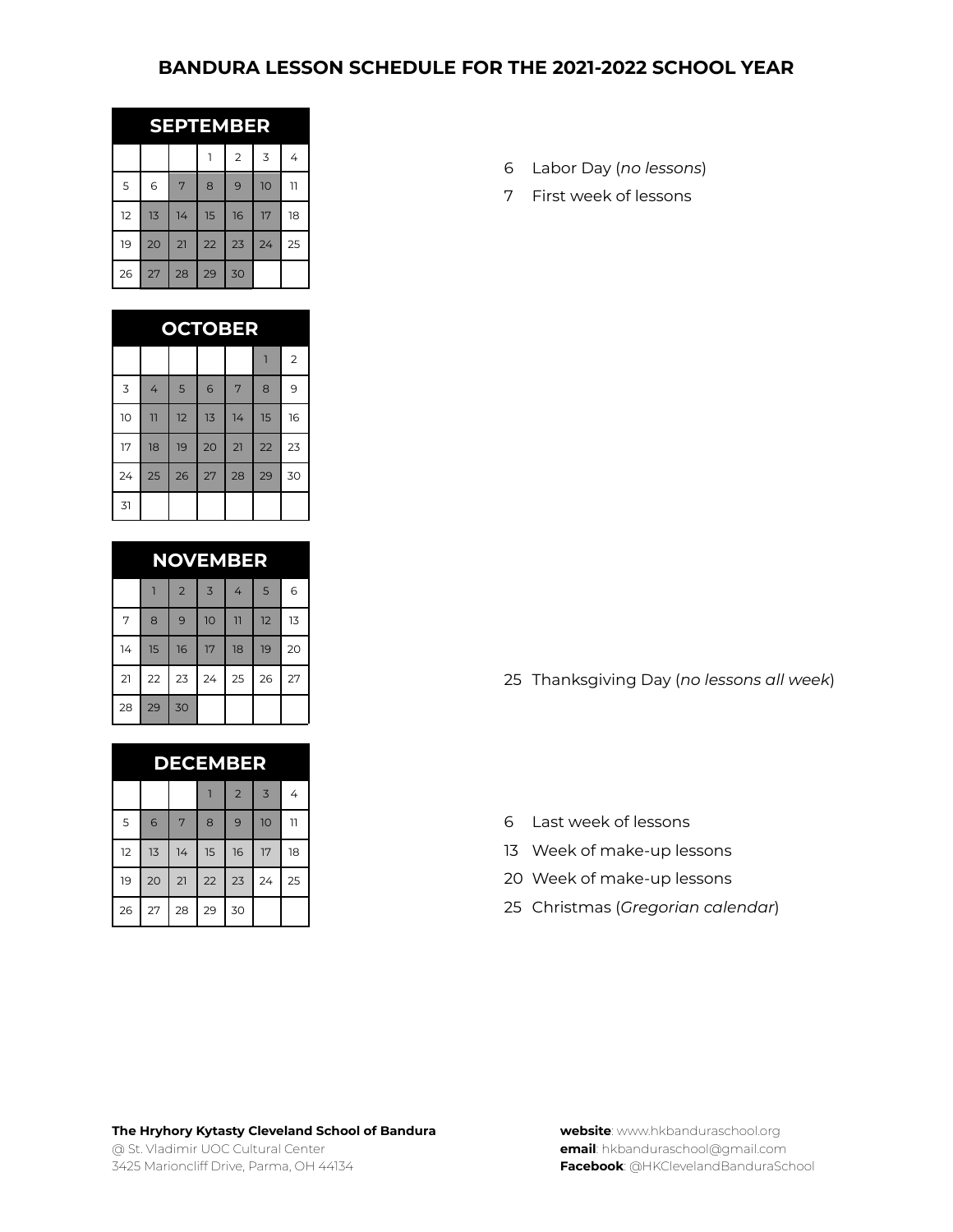## **BANDURA LESSON SCHEDULE FOR THE 2021-2022 SCHOOL YEAR**

| <b>EMBER</b><br>9391 |    |    |    |                |    |                |  |  |
|----------------------|----|----|----|----------------|----|----------------|--|--|
|                      |    |    |    | $\overline{2}$ | 3  | 4              |  |  |
| 5                    | 6  | 7  | 8  | 9              | 10 | $\overline{1}$ |  |  |
| 12                   | 13 | 14 | 15 | 16             | 17 | 18             |  |  |
| 19                   | 20 | 21 | 22 | 23             | 24 | 25             |  |  |
| 26                   | 27 | 28 | 29 | 30             |    |                |  |  |

| <b>OCTOBER</b> |                |    |            |    |    |                |  |
|----------------|----------------|----|------------|----|----|----------------|--|
|                |                |    |            |    |    | $\overline{2}$ |  |
| $\overline{3}$ | 4              | 5  | $\epsilon$ | 7  | 8  | 9              |  |
| 10             | $\overline{1}$ | 12 | 13         | 14 | 15 | 16             |  |
| 17             | 18             | 19 | 20         | 21 | 22 | 23             |  |
| 24             | 25             | 26 | 27         | 28 | 29 | 30             |  |
| 31             |                |    |            |    |    |                |  |

|    |    |                |    | <b>NOVEMBER</b> |    |    |
|----|----|----------------|----|-----------------|----|----|
|    |    | $\overline{2}$ | 3  | 4               | 5  | 6  |
| 7  | 8  | 9              | 10 | 11              | 12 | 13 |
| 14 | 15 | 16             | 17 | 18              | 19 | 20 |
| 21 | 22 | 23             | 24 | 25              | 26 | 27 |
| 28 | 29 | 30             |    |                 |    |    |

| <b>DECEMBER</b> |    |    |    |                |                |    |  |  |  |
|-----------------|----|----|----|----------------|----------------|----|--|--|--|
|                 |    |    |    | $\overline{2}$ | $\overline{3}$ | 4  |  |  |  |
| 5               | 6  | 7  | 8  | 9              | 10             | 11 |  |  |  |
| 12              | 13 | 14 | 15 | 16             | 17             | 18 |  |  |  |
| 19              | 20 | 21 | 22 | 23             | 24             | 25 |  |  |  |
| 26              | 27 | 28 | 29 | 30             |                |    |  |  |  |

- Labor Day (*no lessons*)
- First week of lessons

Thanksgiving Day (*no lessons all week*)

- Last week of lessons
- Week of make-up lessons
- Week of make-up lessons
- Christmas (*Gregorian calendar*)